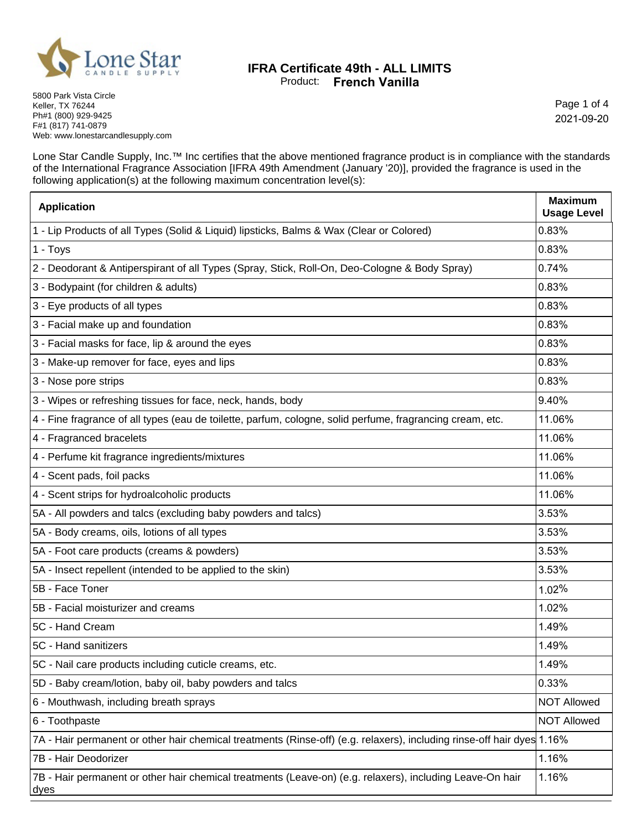

## **IFRA Certificate 49th - ALL LIMITS** Product: **French Vanilla**

Page 1 of 4 2021-09-20

5800 Park Vista Circle Keller, TX 76244 Ph#1 (800) 929-9425 F#1 (817) 741-0879 Web: www.lonestarcandlesupply.com

Lone Star Candle Supply, Inc.™ Inc certifies that the above mentioned fragrance product is in compliance with the standards of the International Fragrance Association [IFRA 49th Amendment (January '20)], provided the fragrance is used in the following application(s) at the following maximum concentration level(s):

| <b>Application</b>                                                                                                     | <b>Maximum</b><br><b>Usage Level</b> |
|------------------------------------------------------------------------------------------------------------------------|--------------------------------------|
| 1 - Lip Products of all Types (Solid & Liquid) lipsticks, Balms & Wax (Clear or Colored)                               | 0.83%                                |
| 1 - Toys                                                                                                               | 0.83%                                |
| 2 - Deodorant & Antiperspirant of all Types (Spray, Stick, Roll-On, Deo-Cologne & Body Spray)                          | 0.74%                                |
| 3 - Bodypaint (for children & adults)                                                                                  | 0.83%                                |
| 3 - Eye products of all types                                                                                          | 0.83%                                |
| 3 - Facial make up and foundation                                                                                      | 0.83%                                |
| 3 - Facial masks for face, lip & around the eyes                                                                       | 0.83%                                |
| 3 - Make-up remover for face, eyes and lips                                                                            | 0.83%                                |
| 3 - Nose pore strips                                                                                                   | 0.83%                                |
| 3 - Wipes or refreshing tissues for face, neck, hands, body                                                            | 9.40%                                |
| 4 - Fine fragrance of all types (eau de toilette, parfum, cologne, solid perfume, fragrancing cream, etc.              | 11.06%                               |
| 4 - Fragranced bracelets                                                                                               | 11.06%                               |
| 4 - Perfume kit fragrance ingredients/mixtures                                                                         | 11.06%                               |
| 4 - Scent pads, foil packs                                                                                             | 11.06%                               |
| 4 - Scent strips for hydroalcoholic products                                                                           | 11.06%                               |
| 5A - All powders and talcs (excluding baby powders and talcs)                                                          | 3.53%                                |
| 5A - Body creams, oils, lotions of all types                                                                           | 3.53%                                |
| 5A - Foot care products (creams & powders)                                                                             | 3.53%                                |
| 5A - Insect repellent (intended to be applied to the skin)                                                             | 3.53%                                |
| 5B - Face Toner                                                                                                        | 1.02%                                |
| 5B - Facial moisturizer and creams                                                                                     | 1.02%                                |
| 5C - Hand Cream                                                                                                        | 1.49%                                |
| 5C - Hand sanitizers                                                                                                   | 1.49%                                |
| 5C - Nail care products including cuticle creams, etc.                                                                 | 1.49%                                |
| 5D - Baby cream/lotion, baby oil, baby powders and talcs                                                               | 0.33%                                |
| 6 - Mouthwash, including breath sprays                                                                                 | <b>NOT Allowed</b>                   |
| 6 - Toothpaste                                                                                                         | <b>NOT Allowed</b>                   |
| 7A - Hair permanent or other hair chemical treatments (Rinse-off) (e.g. relaxers), including rinse-off hair dyes 1.16% |                                      |
| 7B - Hair Deodorizer                                                                                                   | 1.16%                                |
| 7B - Hair permanent or other hair chemical treatments (Leave-on) (e.g. relaxers), including Leave-On hair<br>dyes      | 1.16%                                |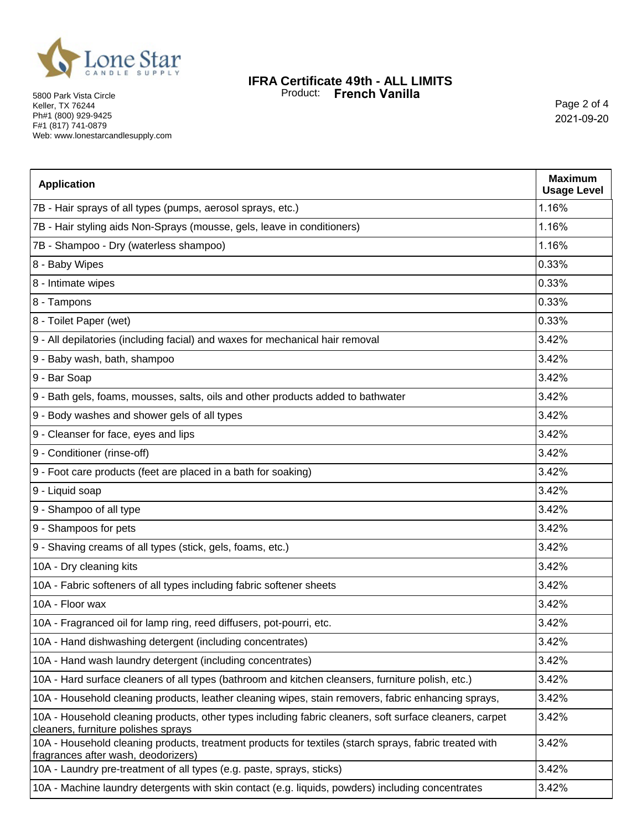

5800 Park Vista Circle Keller, TX 76244 Ph#1 (800) 929-9425 F#1 (817) 741-0879 Web: www.lonestarcandlesupply.com

## **IFRA Certificate 49th - ALL LIMITS** Product: **French Vanilla**

Page 2 of 4 2021-09-20

| <b>Application</b>                                                                                                                             | <b>Maximum</b><br><b>Usage Level</b> |
|------------------------------------------------------------------------------------------------------------------------------------------------|--------------------------------------|
| 7B - Hair sprays of all types (pumps, aerosol sprays, etc.)                                                                                    | 1.16%                                |
| 7B - Hair styling aids Non-Sprays (mousse, gels, leave in conditioners)                                                                        | 1.16%                                |
| 7B - Shampoo - Dry (waterless shampoo)                                                                                                         | 1.16%                                |
| 8 - Baby Wipes                                                                                                                                 | 0.33%                                |
| 8 - Intimate wipes                                                                                                                             | 0.33%                                |
| 8 - Tampons                                                                                                                                    | 0.33%                                |
| 8 - Toilet Paper (wet)                                                                                                                         | 0.33%                                |
| 9 - All depilatories (including facial) and waxes for mechanical hair removal                                                                  | 3.42%                                |
| 9 - Baby wash, bath, shampoo                                                                                                                   | 3.42%                                |
| 9 - Bar Soap                                                                                                                                   | 3.42%                                |
| 9 - Bath gels, foams, mousses, salts, oils and other products added to bathwater                                                               | 3.42%                                |
| 9 - Body washes and shower gels of all types                                                                                                   | 3.42%                                |
| 9 - Cleanser for face, eyes and lips                                                                                                           | 3.42%                                |
| 9 - Conditioner (rinse-off)                                                                                                                    | 3.42%                                |
| 9 - Foot care products (feet are placed in a bath for soaking)                                                                                 | 3.42%                                |
| 9 - Liquid soap                                                                                                                                | 3.42%                                |
| 9 - Shampoo of all type                                                                                                                        | 3.42%                                |
| 9 - Shampoos for pets                                                                                                                          | 3.42%                                |
| 9 - Shaving creams of all types (stick, gels, foams, etc.)                                                                                     | 3.42%                                |
| 10A - Dry cleaning kits                                                                                                                        | 3.42%                                |
| 10A - Fabric softeners of all types including fabric softener sheets                                                                           | 3.42%                                |
| 10A - Floor wax                                                                                                                                | 3.42%                                |
| 10A - Fragranced oil for lamp ring, reed diffusers, pot-pourri, etc.                                                                           | 3.42%                                |
| 10A - Hand dishwashing detergent (including concentrates)                                                                                      | 3.42%                                |
| 10A - Hand wash laundry detergent (including concentrates)                                                                                     | 3.42%                                |
| 10A - Hard surface cleaners of all types (bathroom and kitchen cleansers, furniture polish, etc.)                                              | 3.42%                                |
| 10A - Household cleaning products, leather cleaning wipes, stain removers, fabric enhancing sprays,                                            | 3.42%                                |
| 10A - Household cleaning products, other types including fabric cleaners, soft surface cleaners, carpet<br>cleaners, furniture polishes sprays | 3.42%                                |
| 10A - Household cleaning products, treatment products for textiles (starch sprays, fabric treated with<br>fragrances after wash, deodorizers)  | 3.42%                                |
| 10A - Laundry pre-treatment of all types (e.g. paste, sprays, sticks)                                                                          | 3.42%                                |
| 10A - Machine laundry detergents with skin contact (e.g. liquids, powders) including concentrates                                              | 3.42%                                |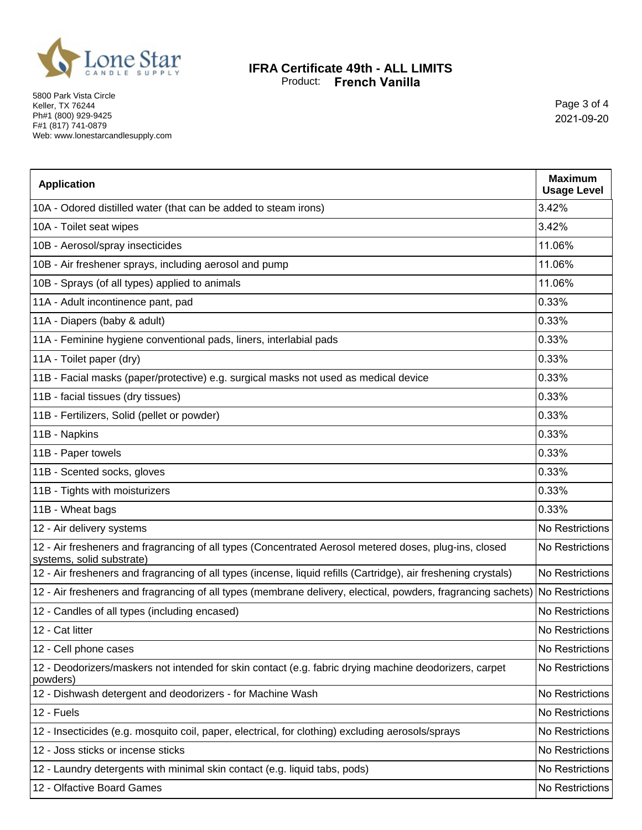

5800 Park Vista Circle Keller, TX 76244 Ph#1 (800) 929-9425 F#1 (817) 741-0879 Web: www.lonestarcandlesupply.com

## **IFRA Certificate 49th - ALL LIMITS** Product: **French Vanilla**

Page 3 of 4 2021-09-20

| <b>Application</b>                                                                                                                  | <b>Maximum</b><br><b>Usage Level</b> |
|-------------------------------------------------------------------------------------------------------------------------------------|--------------------------------------|
| 10A - Odored distilled water (that can be added to steam irons)                                                                     | 3.42%                                |
| 10A - Toilet seat wipes                                                                                                             | 3.42%                                |
| 10B - Aerosol/spray insecticides                                                                                                    | 11.06%                               |
| 10B - Air freshener sprays, including aerosol and pump                                                                              | 11.06%                               |
| 10B - Sprays (of all types) applied to animals                                                                                      | 11.06%                               |
| 11A - Adult incontinence pant, pad                                                                                                  | 0.33%                                |
| 11A - Diapers (baby & adult)                                                                                                        | 0.33%                                |
| 11A - Feminine hygiene conventional pads, liners, interlabial pads                                                                  | 0.33%                                |
| 11A - Toilet paper (dry)                                                                                                            | 0.33%                                |
| 11B - Facial masks (paper/protective) e.g. surgical masks not used as medical device                                                | 0.33%                                |
| 11B - facial tissues (dry tissues)                                                                                                  | 0.33%                                |
| 11B - Fertilizers, Solid (pellet or powder)                                                                                         | 0.33%                                |
| 11B - Napkins                                                                                                                       | 0.33%                                |
| 11B - Paper towels                                                                                                                  | 0.33%                                |
| 11B - Scented socks, gloves                                                                                                         | 0.33%                                |
| 11B - Tights with moisturizers                                                                                                      | 0.33%                                |
| 11B - Wheat bags                                                                                                                    | 0.33%                                |
| 12 - Air delivery systems                                                                                                           | No Restrictions                      |
| 12 - Air fresheners and fragrancing of all types (Concentrated Aerosol metered doses, plug-ins, closed<br>systems, solid substrate) | No Restrictions                      |
| 12 - Air fresheners and fragrancing of all types (incense, liquid refills (Cartridge), air freshening crystals)                     | No Restrictions                      |
| 12 - Air fresheners and fragrancing of all types (membrane delivery, electical, powders, fragrancing sachets) No Restrictions       |                                      |
| 12 - Candles of all types (including encased)                                                                                       | No Restrictions                      |
| 12 - Cat litter                                                                                                                     | No Restrictions                      |
| 12 - Cell phone cases                                                                                                               | No Restrictions                      |
| 12 - Deodorizers/maskers not intended for skin contact (e.g. fabric drying machine deodorizers, carpet<br>powders)                  | No Restrictions                      |
| 12 - Dishwash detergent and deodorizers - for Machine Wash                                                                          | No Restrictions                      |
| 12 - Fuels                                                                                                                          | No Restrictions                      |
| 12 - Insecticides (e.g. mosquito coil, paper, electrical, for clothing) excluding aerosols/sprays                                   | No Restrictions                      |
| 12 - Joss sticks or incense sticks                                                                                                  | No Restrictions                      |
| 12 - Laundry detergents with minimal skin contact (e.g. liquid tabs, pods)                                                          | No Restrictions                      |
| 12 - Olfactive Board Games                                                                                                          | No Restrictions                      |